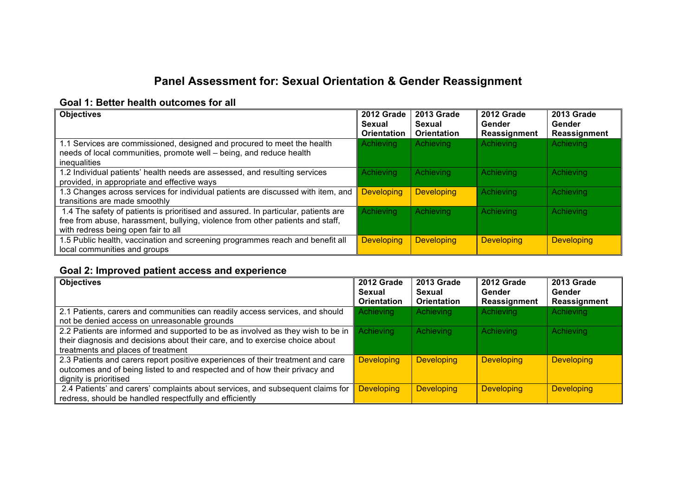# **Panel Assessment for: Sexual Orientation & Gender Reassignment**

#### **Goal 1: Better health outcomes for all**

| <b>Objectives</b>                                                                                                                              | 2012 Grade<br>Sexual<br><b>Orientation</b> | 2013 Grade<br>Sexual<br><b>Orientation</b> | 2012 Grade<br>Gender<br>Reassignment | <b>2013 Grade</b><br>Gender<br>Reassignment |
|------------------------------------------------------------------------------------------------------------------------------------------------|--------------------------------------------|--------------------------------------------|--------------------------------------|---------------------------------------------|
| 1.1 Services are commissioned, designed and procured to meet the health<br>needs of local communities, promote well - being, and reduce health | Achieving                                  | Achieving                                  | Achieving                            | Achieving                                   |
| inequalities                                                                                                                                   |                                            |                                            |                                      |                                             |
| 1.2 Individual patients' health needs are assessed, and resulting services                                                                     | <b>Achieving</b>                           | Achieving                                  | Achieving                            | Achieving                                   |
| provided, in appropriate and effective ways                                                                                                    |                                            |                                            |                                      |                                             |
| 1.3 Changes across services for individual patients are discussed with item, and                                                               | <b>Developing</b>                          | <b>Developing</b>                          | Achieving                            | Achieving                                   |
| transitions are made smoothly                                                                                                                  |                                            |                                            |                                      |                                             |
| 1.4 The safety of patients is prioritised and assured. In particular, patients are                                                             | Achieving                                  | Achieving                                  | Achieving                            | Achieving                                   |
| free from abuse, harassment, bullying, violence from other patients and staff,                                                                 |                                            |                                            |                                      |                                             |
| with redress being open fair to all                                                                                                            |                                            |                                            |                                      |                                             |
| 1.5 Public health, vaccination and screening programmes reach and benefit all                                                                  | <b>Developing</b>                          | <b>Developing</b>                          | <b>Developing</b>                    | <b>Developing</b>                           |
| local communities and groups                                                                                                                   |                                            |                                            |                                      |                                             |

# **Goal 2: Improved patient access and experience**

| <b>Objectives</b>                                                               | 2012 Grade<br>Sexual | 2013 Grade<br>Sexual | 2012 Grade<br>Gender | 2013 Grade<br>Gender |
|---------------------------------------------------------------------------------|----------------------|----------------------|----------------------|----------------------|
|                                                                                 | <b>Orientation</b>   | <b>Orientation</b>   | Reassignment         | Reassignment         |
| 2.1 Patients, carers and communities can readily access services, and should    | <b>Achieving</b>     | Achieving            | Achieving            | Achieving            |
| not be denied access on unreasonable grounds                                    |                      |                      |                      |                      |
| 2.2 Patients are informed and supported to be as involved as they wish to be in | <b>Achieving</b>     | Achieving            | Achieving            | Achieving            |
| their diagnosis and decisions about their care, and to exercise choice about    |                      |                      |                      |                      |
| treatments and places of treatment                                              |                      |                      |                      |                      |
| 2.3 Patients and carers report positive experiences of their treatment and care | <b>Developing</b>    | <b>Developing</b>    | <b>Developing</b>    | <b>Developing</b>    |
| outcomes and of being listed to and respected and of how their privacy and      |                      |                      |                      |                      |
| dignity is prioritised                                                          |                      |                      |                      |                      |
| 2.4 Patients' and carers' complaints about services, and subsequent claims for  | <b>Developing</b>    | <b>Developing</b>    | <b>Developing</b>    | <b>Developing</b>    |
| redress, should be handled respectfully and efficiently                         |                      |                      |                      |                      |